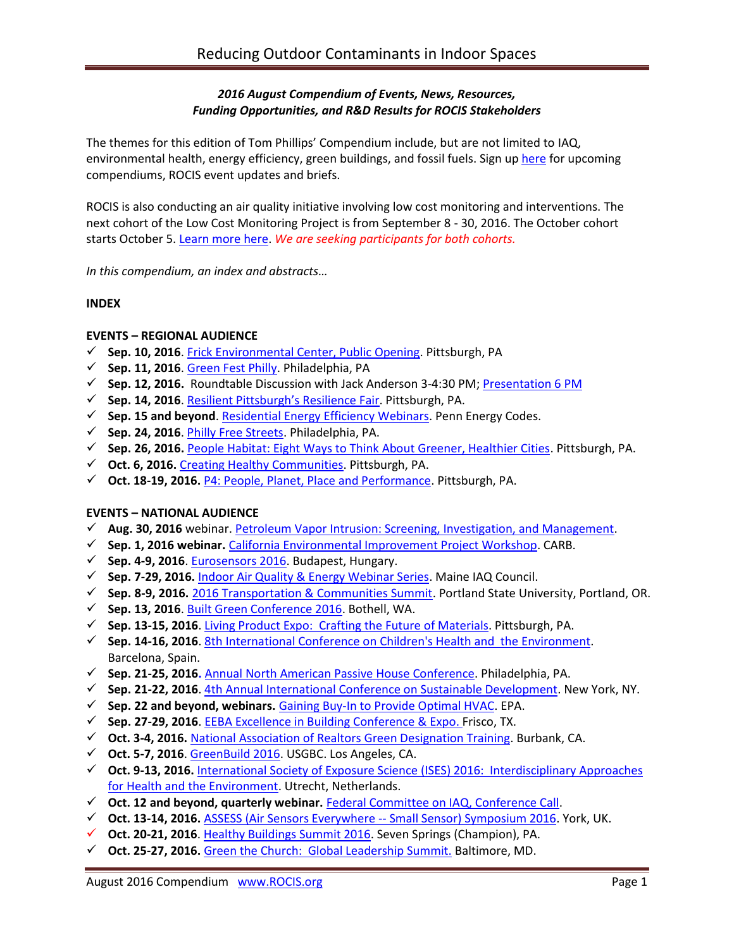# *2016 August Compendium of Events, News, Resources, Funding Opportunities, and R&D Results for ROCIS Stakeholders*

The themes for this edition of Tom Phillips' Compendium include, but are not limited to IAQ, environmental health, energy efficiency, green buildings, and fossil fuels. Sign up [here](http://www.rocis.org/rocis-sign) for upcoming compendiums, ROCIS event updates and briefs.

ROCIS is also conducting an air quality initiative involving low cost monitoring and interventions. The next cohort of the Low Cost Monitoring Project is from September 8 - 30, 2016. The October cohort starts October 5[. Learn more here.](http://rocis.org/rocis-low-cost-monitoring-project) *We are seeking participants for both cohorts.*

*In this compendium, an index and abstracts…*

## **INDEX**

## **EVENTS – REGIONAL AUDIENCE**

- **Sep. 10, 2016**. [Frick Environmental Center, Public Opening.](http://www.nextpittsburgh.com/city-design/frick-environmental-center-open-public/) Pittsburgh, PA
- **Sep. 11, 2016**. [Green Fest Philly.](http://cleanair.org/greenfest/) Philadelphia, PA
- **Sep. 12, 2016.** Roundtable Discussion with Jack Anderson 3-4:30 PM; [Presentation 6 PM](http://www.deawp.org/app-events/healthy-home-evaluator-training)
- **Sep. 14, 2016**. [Resilient Pittsburgh's Resilience Fair](https://www.go-gba.org/events/resilient-pittsburghs-resilience-fair/). Pittsburgh, PA.
- **Sep. 15 and beyond**. [Residential Energy Efficiency Webinars.](http://pennenergycodes.com/) Penn Energy Codes.
- **Sep. 24, 2016**. [Philly Free Streets.](http://cleanair.org/guest-blog-open-streets-phl-on-philly-free-streets/) Philadelphia, PA.
- **Sep. 26, 2016.** [People Habitat: Eight Ways to Think About Greener, Healthier Cities.](https://www.go-gba.org/events/brownbag-lunch-kaid-benfield-people-habitat-eight-ways-think-greener-healthier-cities/) Pittsburgh, PA.
- **Oct. 6, 2016.** [Creating Healthy Communities.](http://womenforahealthyenvironment.org/whats-happening/creating-healthy-communities-conference.html) Pittsburgh, PA.
- **Oct. 18-19, 2016.** [P4: People, Planet, Place and Performance.](http://www.p4pittsburgh.org/) Pittsburgh, PA.

### **EVENTS – NATIONAL AUDIENCE**

- **Aug. 30, 2016** webinar. [Petroleum Vapor Intrusion: Screening, Investigation, and Management.](http://www.hazmatmag.com/remediation/petroleum-vapor-intrusion-fundamentals-screening-investigation-management/1003274352/)
- **Sep. 1, 2016 webinar.** [California Environmental Improvement Project Workshop.](http://www.arb.ca.gov/enf/sep/sep_policy_workshop_notice_082616.pdf) CARB.
- **Sep. 4-9, 2016**[. Eurosensors 2016.](http://www.eurosensors2016.eu/) Budapest, Hungary.
- **Sep. 7-29, 2016.** [Indoor Air Quality & Energy Webinar Series.](https://www.maineindoorair.org/september-second-chance-webinar-series) Maine IAQ Council.
- **Sep. 8-9, 2016.** [2016 Transportation & Communities Summit.](http://trec.pdx.edu/summit/speakers) Portland State University, Portland, OR.
- **Sep. 13, 2016**. [Built Green Conference 2016.](http://www.builtgreenconference.net/bgschedule/) Bothell, WA.
- **Sep. 13-15, 2016**[. Living Product Expo: Crafting the](http://www.livingproductexpo.org/about/) Future of Materials. Pittsburgh, PA.
- **Sep. 14-16, 2016**[. 8th International Conference on Children's Health and the](http://inchesnetwork.net/conference-2016/) Environment. Barcelona, Spain.
- **Sep. 21-25, 2016.** Annual North American [Passive House Conference.](http://naphc2016.phius.org/) Philadelphia, PA.
- **Sep. 21-22, 2016**[. 4th Annual International Conference on Sustainable Development.](http://www.ic-sd.org/) New York, NY.
- **Sep. 22 and beyond, webinars.** [Gaining Buy-In to Provide Optimal HVAC.](https://www.epa.gov/iaq-schools/iaq-knowledge-action-professional-training-webinar-series) EPA.
- **Sep. 27-29, 2016**[. EEBA Excellence in Building Conference & Expo.](http://conference.eeba.org/) Frisco, TX.
- **Oct. 3-4, 2016.** [National Association of Realtors Green Designation Training.](https://www.builditgreen.org/index.php/event-detail/?eventId=a1JE0000009EU6BMAW) Burbank, CA.
- **Oct. 5-7, 2016**[. GreenBuild 2016.](http://greenbuildexpo.com/Attendee/ShowInfo) USGBC. Los Angeles, CA.
- **Oct. 9-13, 2016.** [International Society of Exposure Science \(ISES\) 2016: Interdisciplinary Approaches](http://ises2016.org/)  [for Health and the Environment.](http://ises2016.org/) Utrecht, Netherlands.
- **Oct. 12 and beyond, quarterly webinar.** [Federal Committee on IAQ, Conference Call.](https://www.epa.gov/indoor-air-quality-iaq/federal-interagency-committee-indoor-air-quality)
- **Oct. 13-14, 2016.** [ASSESS \(Air Sensors Everywhere --](http://blogs.umass.edu/ase/ase-events/ase-symposium-2016/) Small Sensor) Symposium 2016. York, UK.
- **Oct. 20-21, 2016**. [Healthy Buildings Summit 2016.](http://www.iaqtraining.com/2016Flyers/healthy_building_summit.pdf) Seven Springs (Champion), PA.
- **Oct. 25-27, 2016.** [Green the Church: Global Leadership Summit.](https://www.willowcreek.com/events/leadership/index.html) Baltimore, MD.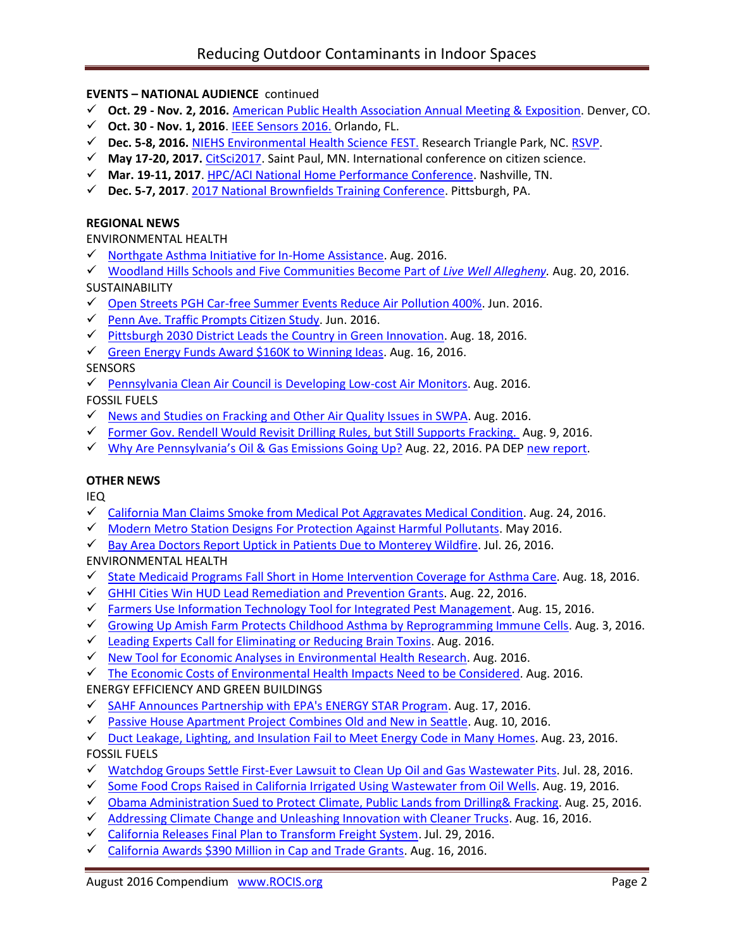# **EVENTS – NATIONAL AUDIENCE** continued

- **Oct. 29 - Nov. 2, 2016.** [American Public Health Association Annual Meeting & Exposition.](http://www.apha.org/events-and-meetings/annual) Denver, CO.
- **Oct. 30 - Nov. 1, 2016**. [IEEE Sensors 2016.](http://ieee-sensors2016.org/) Orlando, FL.
- **Dec. 5-8, 2016.** [NIEHS Environmental Health Science FEST.](http://tools.niehs.nih.gov/conference/ehs_fest/) Research Triangle Park, NC. [RSVP.](https://www.surveymonkey.com/r/EHSFESTRSVP)
- **May 17-20, 2017.** [CitSci2017.](http://citizenscience.org/2016/07/13/citsci2017-may-17-20th-in-saint-paul-minnesota/) Saint Paul, MN. International conference on citizen science.
- **Mar. 19-11, 2017**. [HPC/ACI National Home Performance Conference.](http://www.homeperformance.org/conference/2017-hpc-national-home-performance-conference-trade-show) Nashville, TN.
- **Dec. 5-7, 2017**. [2017 National Brownfields Training Conference.](https://www.epa.gov/brownfields/2017-national-brownfields-training-conference) Pittsburgh, PA.

### **REGIONAL NEWS**

ENVIRONMENTAL HEALTH

- $\checkmark$  [Northgate Asthma Initiative for In-Home Assistance.](http://www.achd.net/air/asthma/index.html) Aug. 2016.
- [Woodland Hills Schools and Five Communities Become Part of](http://www.livewellallegheny.com/woodland-hills-five-communities-become-part-live-well-allegheny/) *Live Well Allegheny.* Aug. 20, 2016.

SUSTAINABILITY

- [Open Streets PGH Car-free Summer Events Reduce Air Pollution 400%.](http://bloomfield-garfield.org/wp-content/uploads/2016/06/The-Bulletin-June-2016-Vol.-41-No.-6-sm-2.pdf) Jun. 2016.
- $\checkmark$  [Penn Ave. Traffic Prompts Citizen Study.](http://bloomfield-garfield.org/wp-content/uploads/2016/06/The-Bulletin-June-2016-Vol.-41-No.-6-sm-2.pdf) Jun. 2016.
- $\checkmark$  [Pittsburgh 2030 District Leads the Country in Green Innovation.](http://innovatorspoint.com/the-pittsburgh-2030-district-leads-the-country-in-green-innovation/?utm_source=Master+List&utm_campaign=cd147a4b25-August_23_2016_newsletter&utm_medium=email&utm_term=0_458e074771-cd147a4b25-392406941) Aug. 18, 2016.
- [Green Energy Funds Award \\$160K to Winning Ideas.](http://powersource.post-gazette.com/powersource/policy-powersource/2016/08/16/West-Penn-Power-Sustainable-Energy-Fund-Pennsylvania-award-160K-to-winning-ideas/stories/201608090006) Aug. 16, 2016.

**SENSORS** 

- $\checkmark$  [Pennsylvania Clean Air Council is Developing Low-cost Air Monitors.](http://cleanair.org/public-health/air-monitors/) Aug. 2016. FOSSIL FUELS
- $\checkmark$  [News and Studies on Fracking and Other Air Quality Issues in SWPA.](http://www.environmentalhealthproject.org/) Aug. 2016.
- [Former Gov. Rendell Would Revisit Drilling Rules, but Still Supports Fracking.](http://powersource.post-gazette.com/powersource/policy-powersource/2016/08/09/Rendell-would-revisit-how-early-drilling-was-regulated/stories/201608090004) Aug. 9, 2016.
- √ Why Are Pennsylvania'[s Oil & Gas Emissions Going Up?](http://blogs.edf.org/energyexchange/2016/08/22/why-are-pennsylvanias-oil-gas-emissions-going-up/) Aug. 22, 2016. PA DE[P new report.](https://stateimpact.npr.org/pennsylvania/2016/08/17/air-pollutants-from-pa-oil-and-gas-sites-continue-to-rise/)

# **OTHER NEWS**

IEQ

- $\checkmark$  [California Man Claims Smoke from Medical Pot Aggravates Medical Condition.](http://www.dailyrepublic.com/news/fairfield/fairfield-man-claims-smoke-from-medical-pot-aggravates-medical-condition/) Aug. 24, 2016.
- $\checkmark$  [Modern Metro Station Designs For Protection Against Harmful Pollutants.](http://cordis.europa.eu/research-eu/magazine_en.html) May 2016.
- $\checkmark$  [Bay Area Doctors Report Uptick in Patients Due to Monterey Wildfire.](http://abc7news.com/health/doctors-report-uptick-in-patients-due-to-soberanes-fire-haze/1444211/) Jul. 26, 2016.

ENVIRONMENTAL HEALTH

- $\checkmark$  [State Medicaid Programs Fall Short in Home Intervention Coverage for Asthma Care.](http://www.lung.org/about-us/blog/2016/08/state-medicaid-asthma-programs-fall-short.html) Aug. 18, 2016.
- [GHHI Cities Win HUD Lead Remediation and Prevention Grants.](http://www.greenandhealthyhomes.org/blog/ghhi-national-news?utm_source=Copy+of+August+2016+Newsletter&utm_campaign=newsletter0715&utm_medium=email) Aug. 22, 2016.
- $\checkmark$  [Farmers Use Information Technology Tool for Integrated Pest Management.](http://news.psu.edu/story/421040/2016/08/15/research/researchers-create-information-technology-tool-pest-management) Aug. 15, 2016.
- $\checkmark$  [Growing Up Amish Farm Protects Childhood Asthma by Reprogramming Immune Cells.](https://www.sciencedaily.com/releases/2016/08/160803214256.htm) Aug. 3, 2016.
- $\checkmark$  [Leading Experts Call for Eliminating or Reducing Brain Toxins.](http://www.niehs.nih.gov/news/newsletter/2016/8/science-highlights/tendr/index.htm) Aug. 2016.
- $\checkmark$  [New Tool for Economic Analyses in Environmental Health Research.](http://www.niehs.nih.gov/news/newsletter/2016/8/science-highlights/economic/index.htm) Aug. 2016.

 $\checkmark$  [The Economic Costs of Environmental Health Impacts Need to be Considered.](http://www.niehs.nih.gov/news/newsletter/2014/7/science-economic/index.htm) Aug. 2016.

- ENERGY EFFICIENCY AND GREEN BUILDINGS
- [SAHF Announces Partnership with EPA's ENERGY STAR Program.](http://www.sahfnet.org/media-center/news/sahf-announces-partnership-epas-energy-star-program) Aug. 17, 2016.
- [Passive House Apartment Project Combines Old and New in Seattle.](http://seattle.curbed.com/2016/8/10/12425362/net-zero-energy-capitol-hill-passive-house-apartments) Aug. 10, 2016.

[Duct Leakage, Lighting, and Insulation Fail to Meet Energy Code in Many Homes.](http://pennenergycodes.com/event/the-keys-to-effective-energy-code-implementation/?instance_id=90) Aug. 23, 2016.

FOSSIL FUELS

- [Watchdog Groups Settle First-Ever Lawsuit to Clean Up Oil and Gas Wastewater Pits.](http://www.ceh.org/news-events/press-releases/content/watchdog-groups-settle-first-ever-prop-65-lawsuit-to-clean-up-polluting-oil-and-gas-wastewater-pits/) Jul. 28, 2016.
- $\checkmark$  [Some Food Crops Raised in California Irrigated Using Wastewater from Oil Wells.](http://www.psr.org/take-action/environment-and-health/before-you-eat-your-fruits.html) Aug. 19, 2016.
- $\checkmark$  Obama Administration Sued to Protect Climate, Public Lands from Drilling & Fracking. Aug. 25, 2016.
- $\checkmark$  [Addressing Climate Change and Unleashing Innovation with Cleaner Trucks.](https://blog.epa.gov/blog/2016/08/addressing-climate-change-and-unleashing-innovation-with-cleaner-trucks/) Aug. 16, 2016.
- [California Releases Final Plan to Transform Freight System.](http://www.arb.ca.gov/newsrel/newsrelease.php?id=850) Jul. 29, 2016.
- [California Awards \\$390 Million in Cap and Trade Grants.](http://calsta.ca.gov/Newsroom/CalSTA-News/CalSTA-News-Items/2016-08-16-Agency-Awards-390Mil-in-Cap-and-Trade-Grants.aspx) Aug. 16, 2016.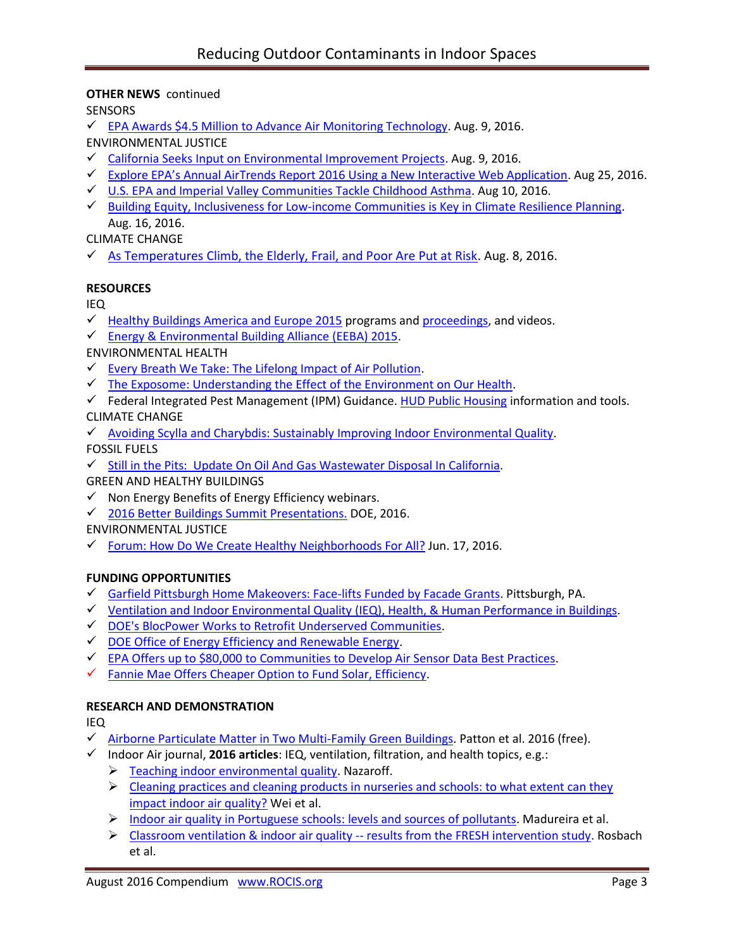## **OTHER NEWS** continued

**SENSORS** 

 $\checkmark$  [EPA Awards \\$4.5 Million to Advance Air Monitoring Technology.](https://www.epa.gov/newsreleases/epa-awards-45-million-advance-air-monitoring-technology) Aug. 9, 2016.

ENVIRONMENTAL JUSTICE

- $\checkmark$  [California Seeks Input on Environmental Improvement Projects.](http://www.arb.ca.gov/enf/seppolicy.htm) Aug. 9, 2016.
- [Explore EPA's Annual AirTrends Report 2016 Using a New Interactive Web Application](https://blog.epa.gov/blog/2016/08/ej-airtrends/). Aug 25, 2016.
- [U.S. EPA and Imperial Valley Communities Tackle Childhood Asthma.](https://blog.epa.gov/blog/2016/08/ej-ivcap/) Aug 10, 2016.
- $\checkmark$  [Building Equity, Inclusiveness for Low-income Communities is Key in Climate Resilience Planning.](https://blog.epa.gov/blog/2016/08/ej-kresge/) Aug. 16, 2016.

CLIMATE CHANGE

 $\checkmark$  [As Temperatures Climb, the Elderly, Frail, and Poor Are Put at Risk.](http://www.wnyc.org/story/temperatures-heat-climb-elderly-poor-frail-at-risk/) Aug. 8, 2016.

## **RESOURCES**

IEQ

- $\checkmark$  [Healthy Buildings America and Europe 2015](http://www.isiaq.org/news_manager.php?page=16312) programs an[d proceedings,](http://www.isiaq.org/publications.php) and videos.
- [Energy & Environmental Building Alliance \(EEBA\) 2015.](http://www.eeba.org/conference/2015/program)

ENVIRONMENTAL HEALTH

- $\checkmark$  [Every Breath We Take: The Lifelong Impact of Air Pollution.](https://www.rcplondon.ac.uk/projects/outputs/every-breath-we-take-lifelong-impact-air-pollution)
- $\checkmark$  [The Exposome: Understanding the Effect of the Environment on Our Health.](http://www.isglobal.org/en/healthisglobal/-/custom-blog-portlet/prova/5620053/7201)
- $\checkmark$  Federal Integrated Pest Management (IPM) Guidance. [HUD Public Housing](http://portal.hud.gov/hudportal/HUD?src=/program_offices/public_indian_housing/programs/ph/phecc/pestmang) information and tools. CLIMATE CHANGE
- $\checkmark$  [Avoiding Scylla and Charybdis: Sustainably Improving Indoor Environmental Quality.](http://www.isiaq.org/news_manager.php?page=15913)

FOSSIL FUELS

 $\checkmark$  [Still in the Pits: Update On Oil And Gas Wastewater Disposal In California.](http://www.cleanwateraction.org/sites/default/files/docs/publications/Still%20In%20the%20Pits%20-%20March%202016.pdf)

GREEN AND HEALTHY BUILDINGS

- $\checkmark$  Non Energy Benefits of Energy Efficiency webinars.
- [2016 Better Buildings Summit Presentations.](https://betterbuildingsinitiative.energy.gov/summit) DOE, 2016.

ENVIRONMENTAL JUSTICE

[Forum: How Do We Create Healthy Neighborhoods For All?](http://www.livewellallegheny.com/forum-healthy-neighborhoods/) Jun. 17, 2016.

### **FUNDING OPPORTUNITIES**

- $\checkmark$  [Garfield Pittsburgh Home Makeovers: Face-lifts Funded by Facade Grants.](http://bloomfield-garfield.org/wp-content/uploads/2016/06/The-Bulletin-June-2016-Vol.-41-No.-6-sm-2.pdf) Pittsburgh, PA.
- $\checkmark$  Ventilation and Indoor Environmental Quality [\(IEQ\), Health, & Human Performance in Buildings.](http://www.energy.ca.gov/contracts/pier.html#GFO-15-507)
- [DOE's BlocPower Works to Retrofit Underserved Communities.](http://www.usgbc.org/articles/blocpower-works-retrofit-underserved-communities)
- $\checkmark$  [DOE Office of Energy Efficiency and Renewable Energy.](http://energy.gov/eere/buildings/listings/funding-opportunities)
- [EPA Offers up to \\$80,000 to Communities to Develop Air Sensor Data Best Practices.](http://www.challenge.gov/challenge/smart-city-air-challenge/)
- $\checkmark$  [Fannie Mae Offers Cheaper Option to Fund Solar, Efficiency.](http://www.greentechmedia.com/articles/read/fannie-mae-offers-cheaper-option-to-fund-solar-efficiency)

### **RESEARCH AND DEMONSTRATION**

IEQ

- $\checkmark$  Airborne Particulate Matter in Two [Multi-Family Green Buildings.](http://www.ncbi.nlm.nih.gov/pubmed/26805862) Patton et al. 2016 (free).
- Indoor Air journal, **2016 articles**: IEQ, ventilation, filtration, and health topics, e.g.:
	- > [Teaching indoor environmental quality.](http://onlinelibrary.wiley.com/doi/10.1111/ina.12309/full) Nazaroff.
	- $\triangleright$  Cleaning practices and cleaning products in nurseries and schools: to what extent can they [impact indoor air quality?](http://onlinelibrary.wiley.com/doi/10.1111/ina.12236/full) Wei et al.
	- $\triangleright$  Indoor air quality in [Portuguese schools: levels and sources of pollutants.](http://onlinelibrary.wiley.com/doi/10.1111/ina.12237/full) Madureira et al.
	- [Classroom ventilation & indoor air quality --](http://onlinelibrary.wiley.com/doi/10.1111/ina.12231/full) results from the FRESH intervention study. Rosbach et al.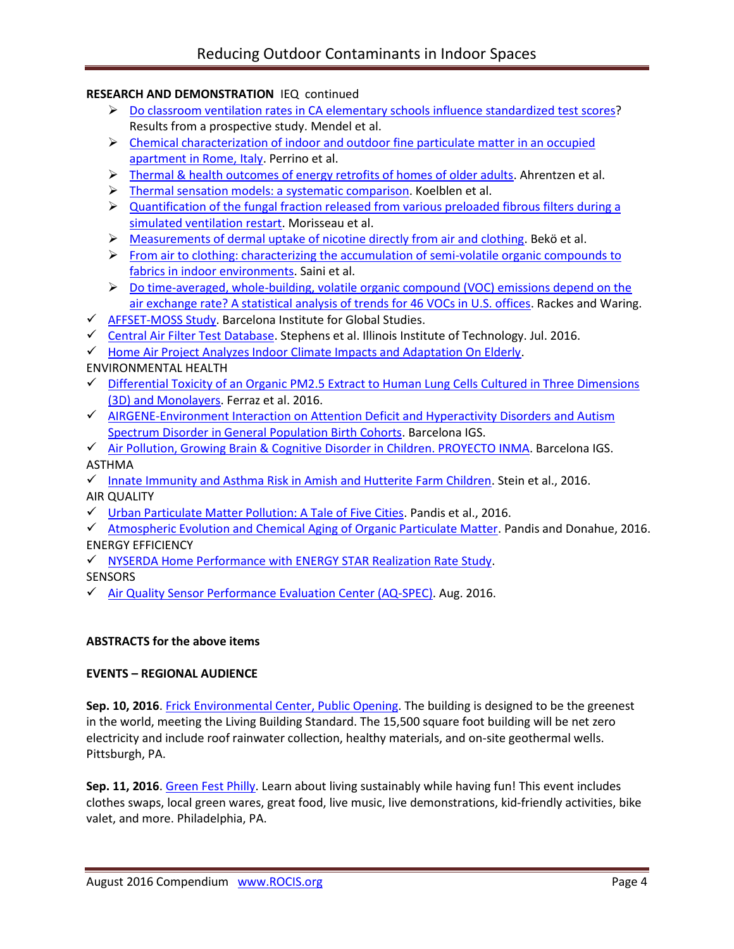# **RESEARCH AND DEMONSTRATION** IEQ continued

- [Do classroom ventilation rates in CA elementary schools influence standardized test scores?](http://onlinelibrary.wiley.com/doi/10.1111/ina.12241/full) Results from a prospective study. Mendel et al.
- $\triangleright$  Chemical characterization of indoor and outdoor fine particulate matter in an occupied [apartment in Rome, Italy.](http://onlinelibrary.wiley.com/doi/10.1111/ina.12235/full) Perrino et al.
- > [Thermal & health outcomes of energy retrofits of homes of older adults.](http://onlinelibrary.wiley.com/doi/10.1111/ina.12239/full) Ahrentzen et al.
- > [Thermal sensation models: a systematic comparison.](http://onlinelibrary.wiley.com/doi/10.1111/ina.12329/full) Koelblen et al.
- $\triangleright$  Quantification of the fungal fraction released from various preloaded fibrous filters during a [simulated ventilation restart.](http://onlinelibrary.wiley.com/doi/10.1111/ina.12330/full) Morisseau et al.
- $\triangleright$  [Measurements of dermal uptake of nicotine directly from air and clothing.](http://onlinelibrary.wiley.com/doi/10.1111/ina.12327/full) Bekö et al.
- $\triangleright$  From air to clothing: characterizing the accumulation of semi-volatile organic compounds to [fabrics in indoor environments.](http://onlinelibrary.wiley.com/doi/10.1111/ina.12328/full) Saini et al.
- $\triangleright$  Do time-averaged, whole-building, volatile organic compound (VOC) emissions depend on the [air exchange rate? A statistical analysis of trends for 46 VOCs in U.S. offices.](http://onlinelibrary.wiley.com/doi/10.1111/ina.12224/full) Rackes and Waring.
- $\checkmark$  [AFFSET-MOSS Study.](http://www.isglobal.org/en/web/guest/project/-/asset_publisher/qf6QOKuKkIC3/content/affset-moss) Barcelona Institute for Global Studies.
- $\checkmark$  [Central Air Filter Test](http://built-envi.com/portfolio/filter-testing/) Database. Stephens et al. Illinois Institute of Technology. Jul. 2016.
- $\checkmark$  [Home Air Project Analyzes Indoor Climate Impacts and Adaptation On Elderly.](http://www.public.asu.edu/~dsailor/)

ENVIRONMENTAL HEALTH

- $\checkmark$  Differential Toxicity of an Organic PM2.5 Extract to Human Lung Cells Cultured in Three Dimensions [\(3D\) and Monolayers.](http://www.ncbi.nlm.nih.gov/pubmed/26932779) Ferraz et al. 2016.
- $\checkmark$  [AIRGENE-Environment Interaction on Attention Deficit and Hyperactivity](http://www.isglobal.org/en/web/guest/project/-/asset_publisher/qf6QOKuKkIC3/content/airgene-environment-interaction-on-atention-deficit-an-hyperactivity-disorders-and-autism-spectrum-disorder-in-general-population-birth-cohorts) Disorders and Autism [Spectrum Disorder in General Population Birth Cohorts.](http://www.isglobal.org/en/web/guest/project/-/asset_publisher/qf6QOKuKkIC3/content/airgene-environment-interaction-on-atention-deficit-an-hyperactivity-disorders-and-autism-spectrum-disorder-in-general-population-birth-cohorts) Barcelona IGS.
- [Air Pollution, Growing Brain & Cognitive Disorder in Children. PROYECTO INMA.](http://www.isglobal.org/en/web/guest/project/-/asset_publisher/qf6QOKuKkIC3/content/air-pollution-growing-brain-and-cognitive-disorder-in-children-apgar-proyecto-inma) Barcelona IGS. ASTHMA
- $\checkmark$  [Innate Immunity and Asthma Risk in Amish and Hutterite Farm Children.](http://www.ncbi.nlm.nih.gov/pubmed/27518660) Stein et al., 2016. AIR QUALITY
- $\checkmark$  [Urban Particulate Matter Pollution: A Tale of Five Cities.](http://www.ncbi.nlm.nih.gov/pubmed/27310460) Pandis et al., 2016.
- $\checkmark$  [Atmospheric Evolution and Chemical Aging of Organic Particulate Matter.](https://www.epa.gov/sites/production/files/2016-04/documents/2.1redacted_pandis_epa.pdf) Pandis and Donahue, 2016. ENERGY EFFICIENCY
- $\checkmark$  [NYSERDA Home Performance with ENERGY STAR Realization Rate Study.](http://psdconsulting.com/nyserda-hpwes-rr-study/)

**SENSORS** 

[Air Quality Sensor Performance Evaluation Center \(AQ-SPEC\).](http://www.aqmd.gov/aq-spec/evaluations#&MainContent_C001_Col00=&MainContent_C001_Col00=0&MainContent_C001_Col00=1&MainContent_C001_Col00=0) Aug. 2016.

# **ABSTRACTS for the above items**

# **EVENTS – REGIONAL AUDIENCE**

**Sep. 10, 2016**. [Frick Environmental Center, Public Opening.](http://www.nextpittsburgh.com/city-design/frick-environmental-center-open-public/) The building is designed to be the greenest in the world, meeting the Living Building Standard. The 15,500 square foot building will be net zero electricity and include roof rainwater collection, healthy materials, and on-site geothermal wells. Pittsburgh, PA.

Sep. 11, 2016. [Green Fest Philly.](http://cleanair.org/greenfest/) Learn about living sustainably while having fun! This event includes clothes swaps, local green wares, great food, live music, live demonstrations, kid-friendly activities, bike valet, and more. Philadelphia, PA.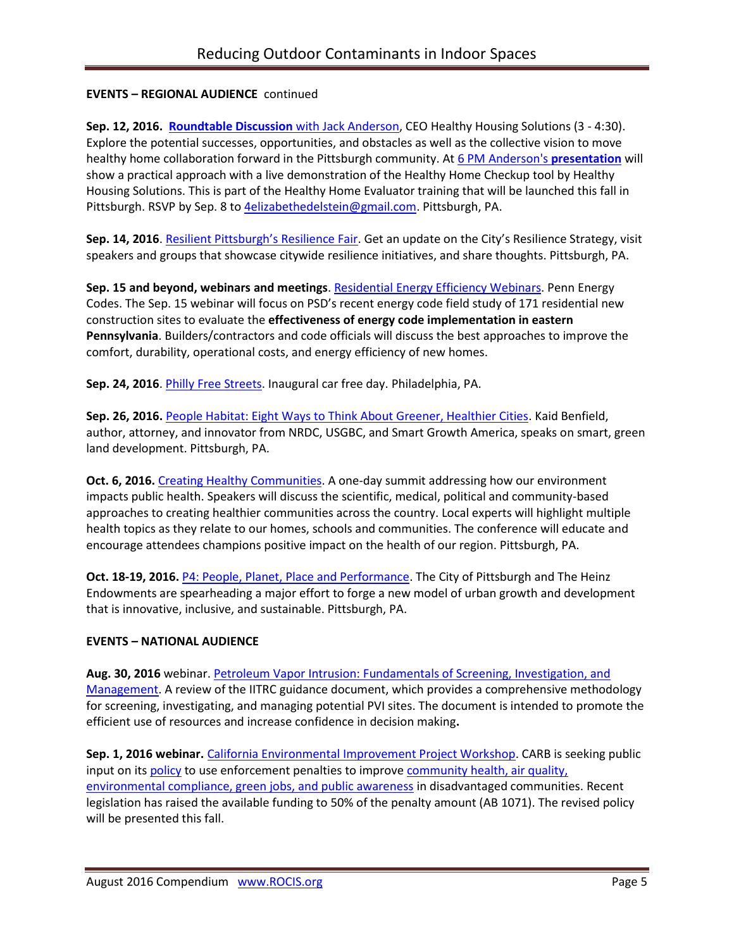# **EVENTS – REGIONAL AUDIENCE** continued

**Sep. 12, 2016. [Roundtable Discussion](http://www.deawp.org/app-events/healthy-home-evaluator-training)** with Jack Anderson, CEO Healthy Housing Solutions (3 - 4:30). Explore the potential successes, opportunities, and obstacles as well as the collective vision to move healthy home collaboration forward in the Pittsburgh community. At [6 PM Anderson's](http://www.deawp.org/app-events/healthy-home-evaluator-training) **presentation** will show a practical approach with a live demonstration of the Healthy Home Checkup tool by Healthy Housing Solutions. This is part of the Healthy Home Evaluator training that will be launched this fall in Pittsburgh. RSVP by Sep. 8 to **4elizabethedelstein@gmail.com**. Pittsburgh, PA.

**Sep. 14, 2016**. [Resilient Pittsburgh's Resilience Fair](https://www.go-gba.org/events/resilient-pittsburghs-resilience-fair/). Get an update on the City's Resilience Strategy, visit speakers and groups that showcase citywide resilience initiatives, and share thoughts. Pittsburgh, PA.

**Sep. 15 and beyond, webinars and meetings**. [Residential Energy Efficiency Webinars.](http://pennenergycodes.com/) Penn Energy Codes. The Sep. 15 webinar will focus on PSD's recent energy code field study of 171 residential new construction sites to evaluate the **effectiveness of energy code implementation in eastern Pennsylvania**. Builders/contractors and code officials will discuss the best approaches to improve the comfort, durability, operational costs, and energy efficiency of new homes.

Sep. 24, 2016. [Philly Free Streets.](http://cleanair.org/guest-blog-open-streets-phl-on-philly-free-streets/) Inaugural car free day. Philadelphia, PA.

**Sep. 26, 2016.** [People Habitat: Eight Ways to Think About Greener, Healthier Cities.](https://www.go-gba.org/events/brownbag-lunch-kaid-benfield-people-habitat-eight-ways-think-greener-healthier-cities/) Kaid Benfield, author, attorney, and innovator from NRDC, USGBC, and Smart Growth America, speaks on smart, green land development. Pittsburgh, PA.

**Oct. 6, 2016.** [Creating Healthy Communities.](http://womenforahealthyenvironment.org/whats-happening/creating-healthy-communities-conference.html) A one-day summit addressing how our environment impacts public health. Speakers will discuss the scientific, medical, political and community-based approaches to creating healthier communities across the country. Local experts will highlight multiple health topics as they relate to our homes, schools and communities. The conference will educate and encourage attendees champions positive impact on the health of our region. Pittsburgh, PA.

**Oct. 18-19, 2016.** [P4: People, Planet, Place and Performance.](http://www.p4pittsburgh.org/) The City of Pittsburgh and The Heinz Endowments are spearheading a major effort to forge a new model of urban growth and development that is innovative, inclusive, and sustainable. Pittsburgh, PA.

# **EVENTS – NATIONAL AUDIENCE**

**Aug. 30, 2016** webinar. [Petroleum Vapor Intrusion: Fundamentals of Screening, Investigation, and](http://www.hazmatmag.com/remediation/petroleum-vapor-intrusion-fundamentals-screening-investigation-management/1003274352/)  [Management.](http://www.hazmatmag.com/remediation/petroleum-vapor-intrusion-fundamentals-screening-investigation-management/1003274352/) A review of the IITRC guidance document, which provides a comprehensive methodology for screening, investigating, and managing potential PVI sites. The document is intended to promote the efficient use of resources and increase confidence in decision making**.** 

Sep. 1, 2016 webinar. [California Environmental Improvement Project Workshop.](http://www.arb.ca.gov/enf/sep/sep_policy_workshop_notice_082616.pdf) CARB is seeking public input on its [policy](http://www.arb.ca.gov/enf/seppolicy.htm) to use enforcement penalties to improve community health, air quality, [environmental compliance, green jobs, and public awareness](http://www.arb.ca.gov/enf/sep/sep-workshop-presentation.pdfhttp:/www.arb.ca.gov/enf/sep/sep-workshop-presentation.pdf) in disadvantaged communities. Recent legislation has raised the available funding to 50% of the penalty amount (AB 1071). The revised policy will be presented this fall.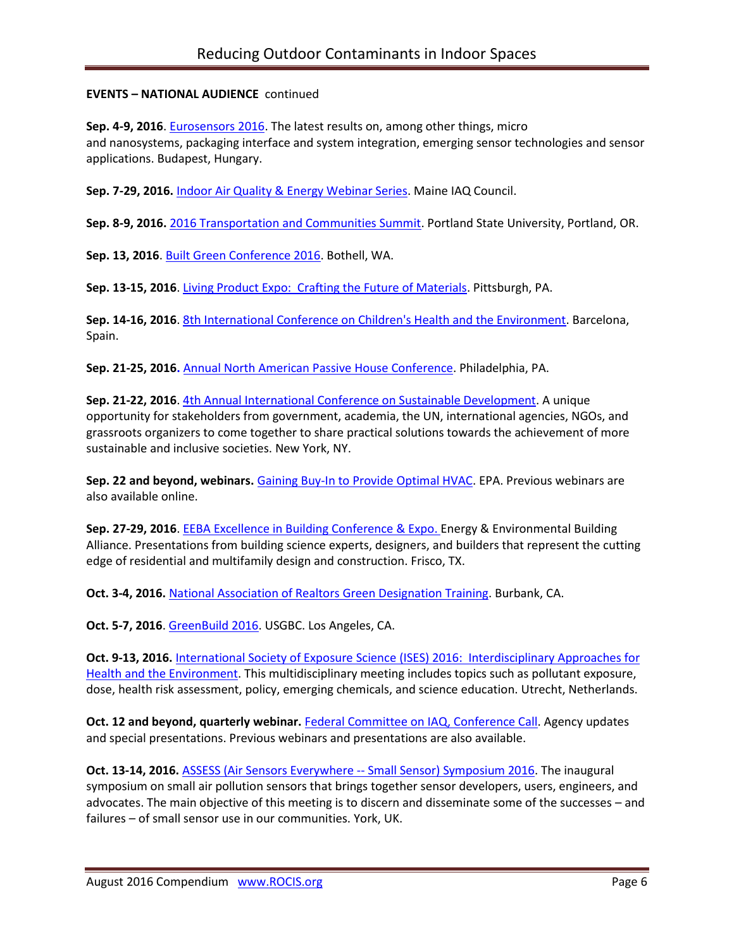# **EVENTS – NATIONAL AUDIENCE** continued

Sep. 4-9, 2016. **Eurosensors 2016**. The latest results on, among other things, micro and nanosystems, packaging interface and system integration, emerging sensor technologies and sensor applications. Budapest, Hungary.

**Sep. 7-29, 2016.** [Indoor Air Quality & Energy Webinar Series.](https://www.maineindoorair.org/september-second-chance-webinar-series) Maine IAQ Council.

**Sep. 8-9, 2016.** [2016 Transportation and Communities Summit.](http://trec.pdx.edu/summit/speakers) Portland State University, Portland, OR.

**Sep. 13, 2016**. [Built Green Conference 2016.](http://www.builtgreenconference.net/bgschedule/) Bothell, WA.

**Sep. 13-15, 2016**[. Living Product Expo: Crafting the Future of Materials.](http://www.livingproductexpo.org/about/) Pittsburgh, PA.

Sep. 14-16, 2016[. 8th International Conference on Children's Health and the Environment.](http://inchesnetwork.net/conference-2016/) Barcelona, Spain.

**Sep. 21-25, 2016.** Annual North American [Passive House Conference.](http://naphc2016.phius.org/) Philadelphia, PA.

**Sep. 21-22, 2016**[. 4th Annual International Conference on Sustainable Development.](http://www.ic-sd.org/) A unique opportunity for stakeholders from government, academia, the UN, international agencies, NGOs, and grassroots organizers to come together to share practical solutions towards the achievement of more sustainable and inclusive societies. New York, NY.

**Sep. 22 and beyond, webinars.** [Gaining Buy-In to Provide Optimal HVAC.](https://www.epa.gov/iaq-schools/iaq-knowledge-action-professional-training-webinar-series) EPA. Previous webinars are also available online.

**Sep. 27-29, 2016**[. EEBA Excellence in Building Conference & Expo.](http://conference.eeba.org/) Energy & Environmental Building Alliance. Presentations from building science experts, designers, and builders that represent the cutting edge of residential and multifamily design and construction. Frisco, TX.

**Oct. 3-4, 2016.** [National Association of Realtors Green Designation Training.](https://www.builditgreen.org/index.php/event-detail/?eventId=a1JE0000009EU6BMAW) Burbank, CA.

**Oct. 5-7, 2016**[. GreenBuild 2016.](http://greenbuildexpo.com/Attendee/ShowInfo) USGBC. Los Angeles, CA.

**Oct. 9-13, 2016.** [International Society of Exposure Science \(ISES\) 2016: Interdisciplinary Approaches for](http://ises2016.org/)  [Health and the Environment.](http://ises2016.org/) This multidisciplinary meeting includes topics such as pollutant exposure, dose, health risk assessment, policy, emerging chemicals, and science education. Utrecht, Netherlands.

**Oct. 12 and beyond, quarterly webinar.** [Federal Committee on IAQ,](https://www.epa.gov/indoor-air-quality-iaq/federal-interagency-committee-indoor-air-quality) Conference Call. Agency updates and special presentations. Previous webinars and presentations are also available.

Oct. 13-14, 2016. ASSESS (Air Sensors Everywhere -- [Small Sensor\) Symposium 2016.](http://blogs.umass.edu/ase/ase-events/ase-symposium-2016/) The inaugural symposium on small air pollution sensors that brings together sensor developers, users, engineers, and advocates. The main objective of this meeting is to discern and disseminate some of the successes – and failures – of small sensor use in our communities. York, UK.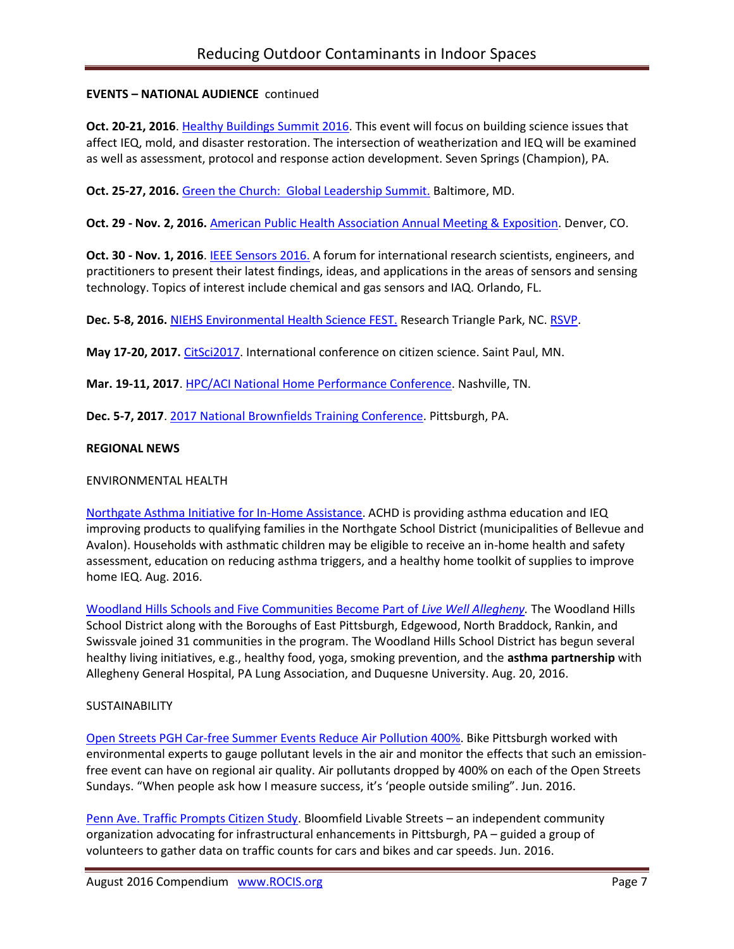# **EVENTS – NATIONAL AUDIENCE** continued

**Oct. 20-21, 2016**. [Healthy Buildings Summit 2016.](http://www.iaqtraining.com/2016Flyers/healthy_building_summit.pdf) This event will focus on building science issues that affect IEQ, mold, and disaster restoration. The intersection of weatherization and IEQ will be examined as well as assessment, protocol and response action development. Seven Springs (Champion), PA.

**Oct. 25-27, 2016.** [Green the Church: Global Leadership Summit.](https://www.willowcreek.com/events/leadership/index.html) Baltimore, MD.

**Oct. 29 - Nov. 2, 2016.** [American Public Health Association Annual Meeting & Exposition.](http://www.apha.org/events-and-meetings/annual) Denver, CO.

**Oct. 30 - Nov. 1, 2016**. [IEEE Sensors 2016.](http://ieee-sensors2016.org/) A forum for international research scientists, engineers, and practitioners to present their latest findings, ideas, and applications in the areas of sensors and sensing technology. Topics of interest include chemical and gas sensors and IAQ. Orlando, FL.

**Dec. 5-8, 2016.** [NIEHS Environmental Health Science FEST.](http://tools.niehs.nih.gov/conference/ehs_fest/) Research Triangle Park, NC. [RSVP.](https://www.surveymonkey.com/r/EHSFESTRSVP)

**May 17-20, 2017.** [CitSci2017.](http://citizenscience.org/2016/07/13/citsci2017-may-17-20th-in-saint-paul-minnesota/) International conference on citizen science. Saint Paul, MN.

**Mar. 19-11, 2017**. [HPC/ACI National Home Performance Conference.](http://www.homeperformance.org/conference/2017-hpc-national-home-performance-conference-trade-show) Nashville, TN.

**Dec. 5-7, 2017**. [2017 National Brownfields Training Conference.](https://www.epa.gov/brownfields/2017-national-brownfields-training-conference) Pittsburgh, PA.

### **REGIONAL NEWS**

### ENVIRONMENTAL HEALTH

[Northgate Asthma Initiative for In-Home Assistance.](http://www.achd.net/air/asthma/index.html) ACHD is providing asthma education and IEQ improving products to qualifying families in the Northgate School District (municipalities of Bellevue and Avalon). Households with asthmatic children may be eligible to receive an in-home health and safety assessment, education on reducing asthma triggers, and a healthy home toolkit of supplies to improve home IEQ. Aug. 2016.

[Woodland Hills Schools and Five Communities Become Part of](http://www.livewellallegheny.com/woodland-hills-five-communities-become-part-live-well-allegheny/) *Live Well Allegheny.* The Woodland Hills School District along with the Boroughs of East Pittsburgh, Edgewood, North Braddock, Rankin, and Swissvale joined 31 communities in the program. The Woodland Hills School District has begun several healthy living initiatives, e.g., healthy food, yoga, smoking prevention, and the **asthma partnership** with Allegheny General Hospital, PA Lung Association, and Duquesne University. Aug. 20, 2016.

### **SUSTAINABILITY**

[Open Streets PGH Car-free Summer Events Reduce Air Pollution 400%.](http://bloomfield-garfield.org/wp-content/uploads/2016/06/The-Bulletin-June-2016-Vol.-41-No.-6-sm-2.pdf) Bike Pittsburgh worked with environmental experts to gauge pollutant levels in the air and monitor the effects that such an emissionfree event can have on regional air quality. Air pollutants dropped by 400% on each of the Open Streets Sundays. "When people ask how I measure success, it's 'people outside smiling". Jun. 2016.

[Penn Ave. Traffic Prompts Citizen Study.](http://bloomfield-garfield.org/wp-content/uploads/2016/06/The-Bulletin-June-2016-Vol.-41-No.-6-sm-2.pdf) Bloomfield Livable Streets – an independent community organization advocating for infrastructural enhancements in Pittsburgh, PA – guided a group of volunteers to gather data on traffic counts for cars and bikes and car speeds. Jun. 2016.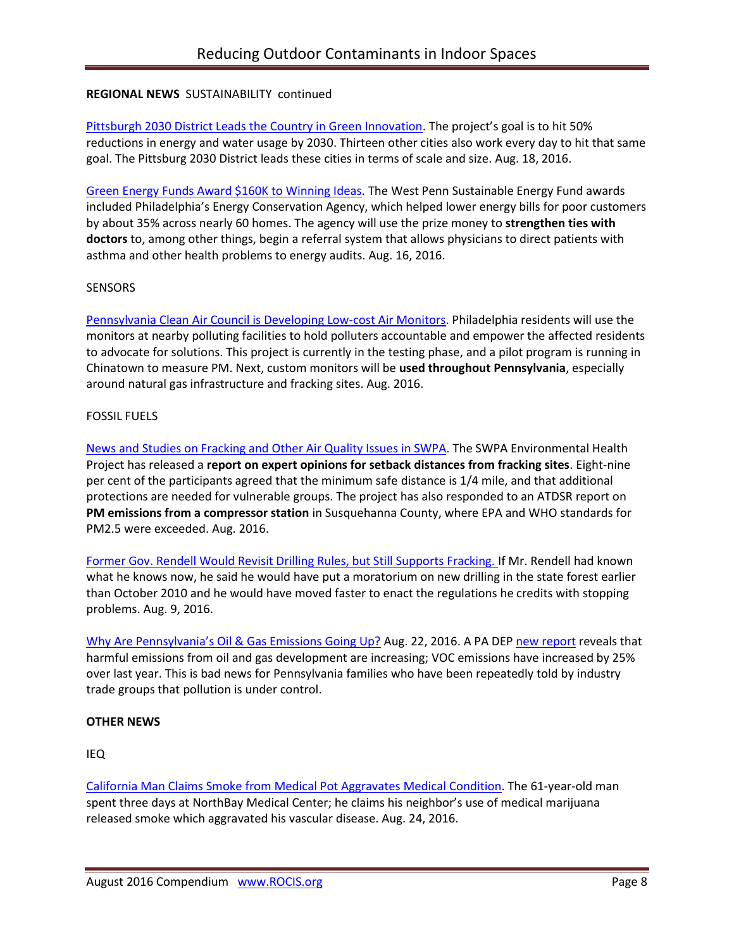## **REGIONAL NEWS** SUSTAINABILITY continued

[Pittsburgh 2030 District Leads the Country in Green Innovation.](http://innovatorspoint.com/the-pittsburgh-2030-district-leads-the-country-in-green-innovation/?utm_source=Master+List&utm_campaign=cd147a4b25-August_23_2016_newsletter&utm_medium=email&utm_term=0_458e074771-cd147a4b25-392406941) The project's goal is to hit 50% reductions in energy and water usage by 2030. Thirteen other cities also work every day to hit that same goal. The Pittsburg 2030 District leads these cities in terms of scale and size. Aug. 18, 2016.

[Green Energy Funds Award \\$160K to Winning Ideas.](http://powersource.post-gazette.com/powersource/policy-powersource/2016/08/16/West-Penn-Power-Sustainable-Energy-Fund-Pennsylvania-award-160K-to-winning-ideas/stories/201608090006) The West Penn Sustainable Energy Fund awards included Philadelphia's Energy Conservation Agency, which helped lower energy bills for poor customers by about 35% across nearly 60 homes. The agency will use the prize money to **strengthen ties with doctors** to, among other things, begin a referral system that allows physicians to direct patients with asthma and other health problems to energy audits. Aug. 16, 2016.

#### **SENSORS**

[Pennsylvania Clean Air Council is Developing Low-cost Air Monitors.](http://cleanair.org/public-health/air-monitors/) Philadelphia residents will use the monitors at nearby polluting facilities to hold polluters accountable and empower the affected residents to advocate for solutions. This project is currently in the testing phase, and a pilot program is running in Chinatown to measure PM. Next, custom monitors will be **used throughout Pennsylvania**, especially around natural gas infrastructure and fracking sites. Aug. 2016.

#### FOSSIL FUELS

[News and Studies on Fracking and Other Air Quality Issues in SWPA.](http://www.environmentalhealthproject.org/) The SWPA Environmental Health Project has released a **report on expert opinions for setback distances from fracking sites**. Eight-nine per cent of the participants agreed that the minimum safe distance is 1/4 mile, and that additional protections are needed for vulnerable groups. The project has also responded to an ATDSR report on **PM emissions from a compressor station** in Susquehanna County, where EPA and WHO standards for PM2.5 were exceeded. Aug. 2016.

[Former Gov. Rendell Would Revisit Drilling Rules, but Still Supports Fracking. I](http://powersource.post-gazette.com/powersource/policy-powersource/2016/08/09/Rendell-would-revisit-how-early-drilling-was-regulated/stories/201608090004)f Mr. Rendell had known what he knows now, he said he would have put a moratorium on new drilling in the state forest earlier than October 2010 and he would have moved faster to enact the regulations he credits with stopping problems. Aug. 9, 2016.

[Why Are Pennsylvania's Oil & Gas Emissions Going Up?](http://blogs.edf.org/energyexchange/2016/08/22/why-are-pennsylvanias-oil-gas-emissions-going-up/) Aug. 22, 2016. A PA DE[P new report](https://stateimpact.npr.org/pennsylvania/2016/08/17/air-pollutants-from-pa-oil-and-gas-sites-continue-to-rise/) reveals that harmful emissions from oil and gas development are increasing; VOC emissions have increased by 25% over last year. This is bad news for Pennsylvania families who have been repeatedly told by industry trade groups that pollution is under control.

### **OTHER NEWS**

IEQ

[California Man Claims Smoke from Medical Pot Aggravates Medical Condition.](http://www.dailyrepublic.com/news/fairfield/fairfield-man-claims-smoke-from-medical-pot-aggravates-medical-condition/) The 61-year-old man spent three days at NorthBay Medical Center; he claims his neighbor's use of medical marijuana released smoke which aggravated his vascular disease. Aug. 24, 2016.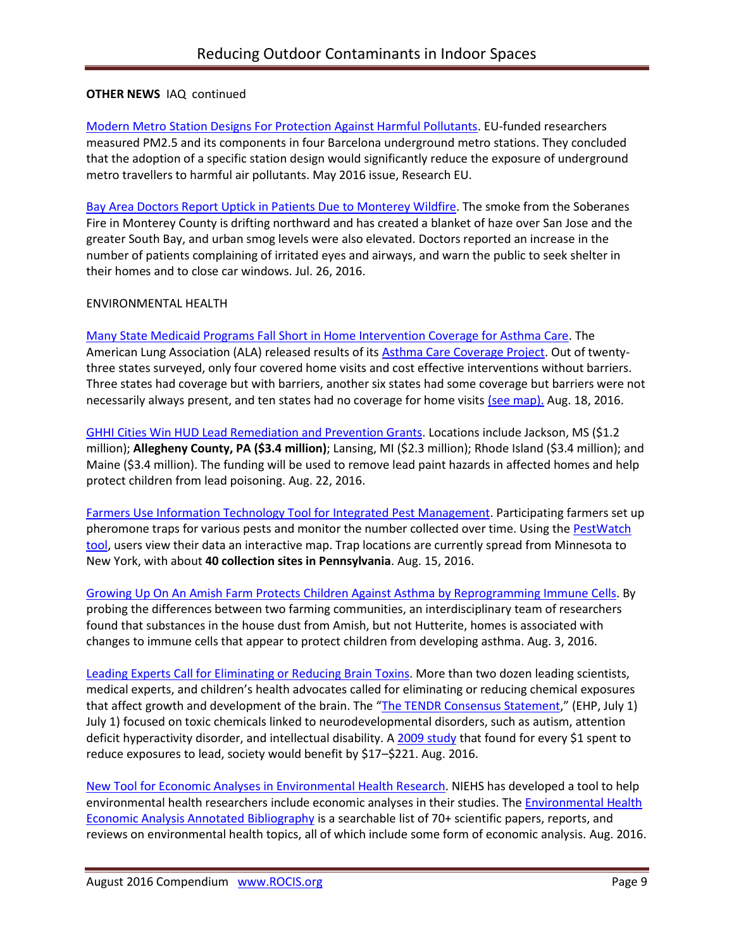# **OTHER NEWS** IAQ continued

[Modern Metro Station Designs For Protection Against Harmful Pollutants.](http://cordis.europa.eu/research-eu/magazine_en.html) EU-funded researchers measured PM2.5 and its components in four Barcelona underground metro stations. They concluded that the adoption of a specific station design would significantly reduce the exposure of underground metro travellers to harmful air pollutants. May 2016 issue, Research EU.

[Bay Area Doctors Report Uptick in Patients Due to Monterey Wildfire.](http://abc7news.com/health/doctors-report-uptick-in-patients-due-to-soberanes-fire-haze/1444211/) The smoke from the Soberanes Fire in Monterey County is drifting northward and has created a blanket of haze over San Jose and the greater South Bay, and urban smog levels were also elevated. Doctors reported an increase in the number of patients complaining of irritated eyes and airways, and warn the public to seek shelter in their homes and to close car windows. Jul. 26, 2016.

### ENVIRONMENTAL HEALTH

Many State Medicaid Programs Fall Short in [Home Intervention Coverage for Asthma Care.](http://www.lung.org/about-us/blog/2016/08/state-medicaid-asthma-programs-fall-short.html) The American Lung Association (ALA) released results of it[s Asthma Care Coverage Project.](http://www.lung.org/about-us/media/press-releases/project-patient-access-treatment.html) Out of twentythree states surveyed, only four covered home visits and cost effective interventions without barriers. Three states had coverage but with barriers, another six states had some coverage but barriers were not necessarily always present, and ten states had no coverage for home visits [\(see map\).](http://www.lung.org/assets/documents/asthma/6-Home-Visits-Map.pdf) Aug. 18, 2016.

[GHHI Cities Win HUD Lead Remediation and Prevention Grants.](http://www.greenandhealthyhomes.org/blog/ghhi-national-news?utm_source=Copy+of+August+2016+Newsletter&utm_campaign=newsletter0715&utm_medium=email) Locations include Jackson, MS (\$1.2 million); **Allegheny County, PA (\$3.4 million)**; Lansing, MI (\$2.3 million); Rhode Island (\$3.4 million); and Maine (\$3.4 million). The funding will be used to remove lead paint hazards in affected homes and help protect children from lead poisoning. Aug. 22, 2016.

Farmers Use [Information Technology Tool for Integrated Pest Management.](http://news.psu.edu/story/421040/2016/08/15/research/researchers-create-information-technology-tool-pest-management) Participating farmers set up pheromone traps for various pests and monitor the number collected over time. Using the [PestWatch](http://www.pestwatch.psu.edu/)  [tool,](http://www.pestwatch.psu.edu/) users view their data an interactive map. Trap locations are currently spread from Minnesota to New York, with about **40 collection sites in Pennsylvania**. Aug. 15, 2016.

[Growing Up On An Amish Farm Protects Children Against Asthma by Reprogramming Immune](https://www.sciencedaily.com/releases/2016/08/160803214256.htm) Cells. By probing the differences between two farming communities, an interdisciplinary team of researchers found that substances in the house dust from Amish, but not Hutterite, homes is associated with changes to immune cells that appear to protect children from developing asthma. Aug. 3, 2016.

[Leading Experts Call for Eliminating or Reducing Brain Toxins.](http://www.niehs.nih.gov/news/newsletter/2016/8/science-highlights/tendr/index.htm) More than two dozen leading scientists, medical experts, and children's health advocates called for eliminating or reducing chemical exposures that affect growth and development of the brain. The "[The TENDR Consensus Statement](http://ehp.niehs.nih.gov/EHP358/)," (EHP, July 1) July 1) focused on toxic chemicals linked to neurodevelopmental disorders, such as autism, attention deficit hyperactivity disorder, and intellectual disability. A [2009 study](http://www.ncbi.nlm.nih.gov/pubmed/19654928) that found for every \$1 spent to reduce exposures to lead, society would benefit by \$17–\$221. Aug. 2016.

[New Tool for Economic Analyses in Environmental Health Research.](http://www.niehs.nih.gov/news/newsletter/2016/8/science-highlights/economic/index.htm) NIEHS has developed a tool to help environmental health researchers include economic analyses in their studies. The *Environmental Health* [Economic Analysis Annotated Bibliography](http://www.niehs.nih.gov/research/resources/eheaNIEHS/ehea/index.cfm) is a searchable list of 70+ scientific papers, reports, and reviews on environmental health topics, all of which include some form of economic analysis. Aug. 2016.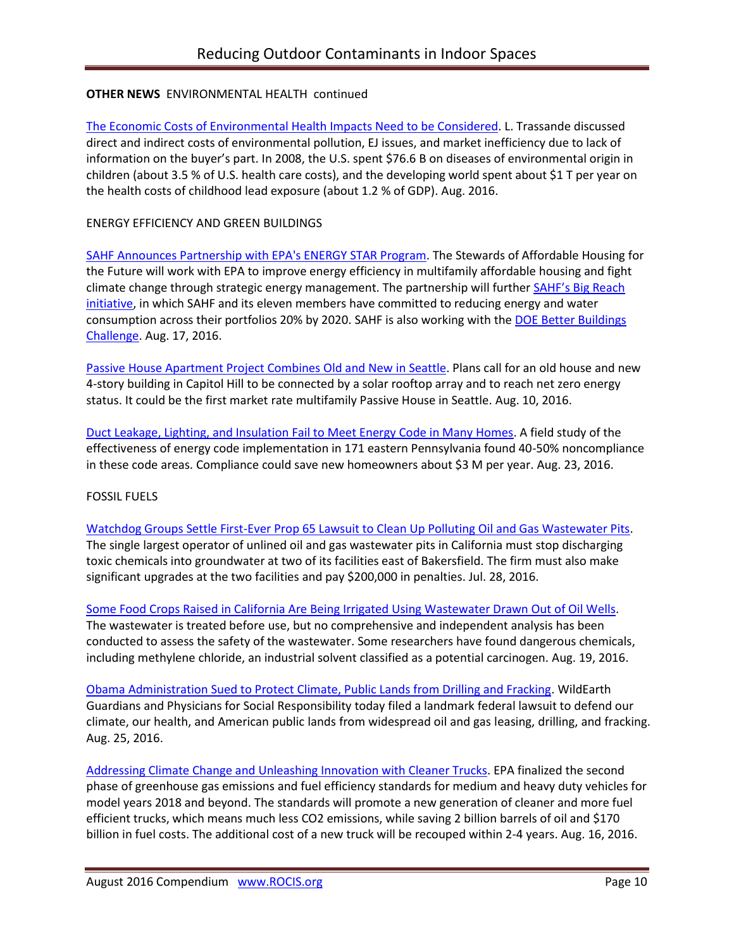# **OTHER NEWS** ENVIRONMENTAL HEALTH continued

[The Economic Costs of Environmental Health Impacts Need to be Considered.](http://www.niehs.nih.gov/news/newsletter/2014/7/science-economic/index.htm) L. Trassande discussed direct and indirect costs of environmental pollution, EJ issues, and market inefficiency due to lack of information on the buyer's part. In 2008, the U.S. spent \$76.6 B on diseases of environmental origin in children (about 3.5 % of U.S. health care costs), and the developing world spent about \$1 T per year on the health costs of childhood lead exposure (about 1.2 % of GDP). Aug. 2016.

## ENERGY EFFICIENCY AND GREEN BUILDINGS

[SAHF Announces Partnership with EPA's ENERGY STAR Program.](http://www.sahfnet.org/media-center/news/sahf-announces-partnership-epas-energy-star-program) The Stewards of Affordable Housing for the Future will work with EPA to improve energy efficiency in multifamily affordable housing and fight climate change through strategic energy management. The partnership will further **SAHF's Big Reach** [initiative,](http://www.sahfnet.org/our-work/energy-and-water-conservation/energy-water-conservation) in which SAHF and its eleven members have committed to reducing energy and water consumption across their portfolios 20% by 2020. SAHF is also working with the DOE Better Buildings [Challenge.](http://energy.gov/eere/better-buildings) Aug. 17, 2016.

[Passive House Apartment Project Combines Old and New in Seattle.](http://seattle.curbed.com/2016/8/10/12425362/net-zero-energy-capitol-hill-passive-house-apartments) Plans call for an old house and new 4-story building in Capitol Hill to be connected by a solar rooftop array and to reach net zero energy status. It could be the first market rate multifamily Passive House in Seattle. Aug. 10, 2016.

[Duct Leakage, Lighting, and Insulation Fail to Meet Energy Code in Many Homes.](http://pennenergycodes.com/event/the-keys-to-effective-energy-code-implementation/?instance_id=90) A field study of the effectiveness of energy code implementation in 171 eastern Pennsylvania found 40-50% noncompliance in these code areas. Compliance could save new homeowners about \$3 M per year. Aug. 23, 2016.

# FOSSIL FUELS

[Watchdog Groups Settle First-Ever Prop 65 Lawsuit to Clean Up Polluting Oil and Gas Wastewater Pits.](http://www.ceh.org/news-events/press-releases/content/watchdog-groups-settle-first-ever-prop-65-lawsuit-to-clean-up-polluting-oil-and-gas-wastewater-pits/) The single largest operator of unlined oil and gas wastewater pits in California must stop discharging toxic chemicals into groundwater at two of its facilities east of Bakersfield. The firm must also make significant upgrades at the two facilities and pay \$200,000 in penalties. Jul. 28, 2016.

[Some Food Crops Raised in California Are Being Irrigated Using Wastewater Drawn Out of Oil Wells.](http://www.psr.org/take-action/environment-and-health/before-you-eat-your-fruits.html) The wastewater is treated before use, but no comprehensive and independent analysis has been conducted to assess the safety of the wastewater. Some researchers have found dangerous chemicals, including methylene chloride, an industrial solvent classified as a potential carcinogen. Aug. 19, 2016.

[Obama Administration Sued to Protect Climate, Public Lands from Drilling and Fracking.](http://www.psr.org/news-events/press-releases/obama-administration-sued-to-protect-climate.html) WildEarth Guardians and Physicians for Social Responsibility today filed a landmark federal lawsuit to defend our climate, our health, and American public lands from widespread oil and gas leasing, drilling, and fracking. Aug. 25, 2016.

[Addressing Climate Change and Unleashing Innovation with Cleaner Trucks.](https://blog.epa.gov/blog/2016/08/addressing-climate-change-and-unleashing-innovation-with-cleaner-trucks/) EPA finalized the second phase of greenhouse gas emissions and fuel efficiency standards for medium and heavy duty vehicles for model years 2018 and beyond. The standards will promote a new generation of cleaner and more fuel efficient trucks, which means much less CO2 emissions, while saving 2 billion barrels of oil and \$170 billion in fuel costs. The additional cost of a new truck will be recouped within 2-4 years. Aug. 16, 2016.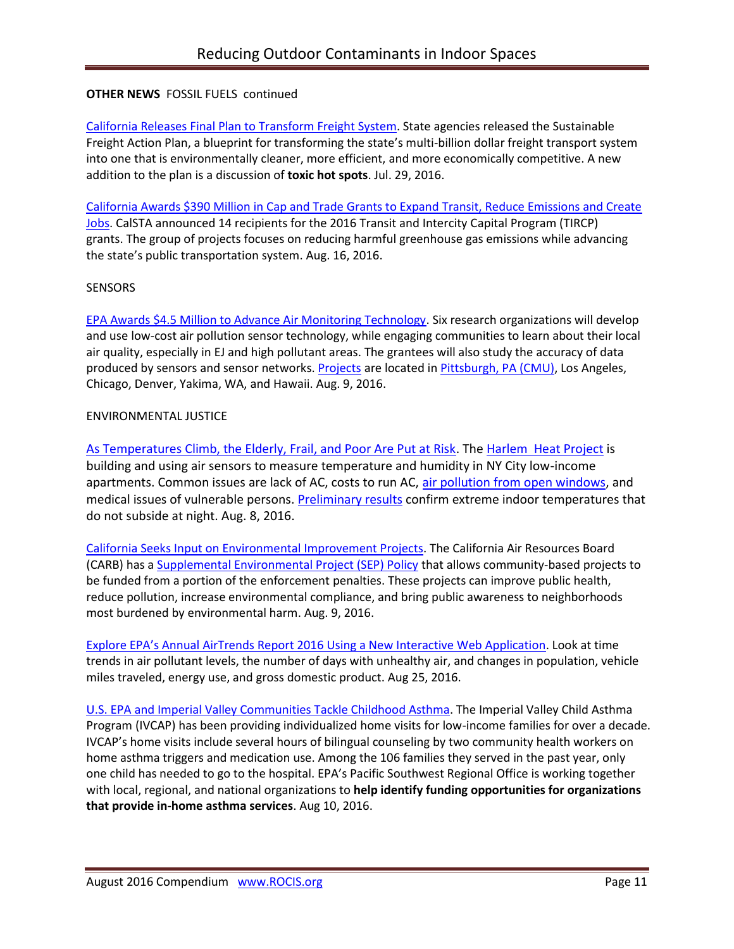## **OTHER NEWS FOSSIL FUELS continued**

[California Releases Final Plan to Transform Freight System.](http://www.arb.ca.gov/newsrel/newsrelease.php?id=850) State agencies released the Sustainable Freight Action Plan, a blueprint for transforming the state's multi-billion dollar freight transport system into one that is environmentally cleaner, more efficient, and more economically competitive. A new addition to the plan is a discussion of **toxic hot spots**. Jul. 29, 2016.

[California Awards \\$390 Million in Cap and Trade Grants to Expand Transit, Reduce Emissions and Create](http://calsta.ca.gov/Newsroom/CalSTA-News/CalSTA-News-Items/2016-08-16-Agency-Awards-390Mil-in-Cap-and-Trade-Grants.aspx)  [Jobs.](http://calsta.ca.gov/Newsroom/CalSTA-News/CalSTA-News-Items/2016-08-16-Agency-Awards-390Mil-in-Cap-and-Trade-Grants.aspx) CalSTA announced 14 recipients for the 2016 Transit and Intercity Capital Program (TIRCP) grants. The group of projects focuses on reducing harmful greenhouse gas emissions while advancing the state's public transportation system. Aug. 16, 2016.

### **SENSORS**

[EPA Awards \\$4.5 Million to Advance Air Monitoring Technology.](https://www.epa.gov/newsreleases/epa-awards-45-million-advance-air-monitoring-technology) Six research organizations will develop and use low-cost air pollution sensor technology, while engaging communities to learn about their local air quality, especially in EJ and high pollutant areas. The grantees will also study the accuracy of data produced by sensors and sensor networks. [Projects](https://cfpub.epa.gov/ncer_abstracts/index.cfm/fuseaction/recipients.display/rfa_id/587) are located i[n Pittsburgh, PA](https://cfpub.epa.gov/ncer_abstracts/index.cfm/fuseaction/display.abstractDetail/abstract/10743/report/0) (CMU), Los Angeles, Chicago, Denver, Yakima, WA, and Hawaii. Aug. 9, 2016.

#### ENVIRONMENTAL JUSTICE

[As Temperatures Climb, the Elderly, Frail, and Poor Are Put at Risk.](http://www.wnyc.org/story/temperatures-heat-climb-elderly-poor-frail-at-risk/) The [Harlem Heat Project](http://www.adaptny.org/category/harlem-heat/) is building and using air sensors to measure temperature and humidity in NY City low-income apartments. Common issues are lack of AC, costs to run AC, [air pollution from open windows,](http://www.adaptny.org/2016/07/28/life-in-new-york-public-housing-no-ac-but-maybe-a-fan-blowing-soot-from-outside-the-window/) and medical issues of vulnerable persons. [Preliminary results](http://www.wnyc.org/story/life-new-york-public-housing-no-air-conditioning/) confirm extreme indoor temperatures that do not subside at night. Aug. 8, 2016.

[California Seeks Input on Environmental Improvement Projects.](http://www.arb.ca.gov/enf/seppolicy.htm) The California Air Resources Board (CARB) has a [Supplemental Environmental Project \(SEP\) Policy](http://www.arb.ca.gov/enf/sep/arb_sep_policy_042915.pdf) that allows community-based projects to be funded from a portion of the enforcement penalties. These projects can improve public health, reduce pollution, increase environmental compliance, and bring public awareness to neighborhoods most burdened by environmental harm. Aug. 9, 2016.

[Explore EPA's Annual AirTrends Report 2016 Using a New Interactive Web Application](https://blog.epa.gov/blog/2016/08/ej-airtrends/). Look at time trends in air pollutant levels, the number of days with unhealthy air, and changes in population, vehicle miles traveled, energy use, and gross domestic product. Aug 25, 2016.

[U.S. EPA and Imperial Valley Communities Tackle Childhood Asthma.](https://blog.epa.gov/blog/2016/08/ej-ivcap/) The Imperial Valley Child Asthma Program (IVCAP) has been providing individualized home visits for low-income families for over a decade. IVCAP's home visits include several hours of bilingual counseling by two community health workers on home asthma triggers and medication use. Among the 106 families they served in the past year, only one child has needed to go to the hospital. EPA's Pacific Southwest Regional Office is working together with local, regional, and national organizations to **help identify funding opportunities for organizations that provide in-home asthma services**. Aug 10, 2016.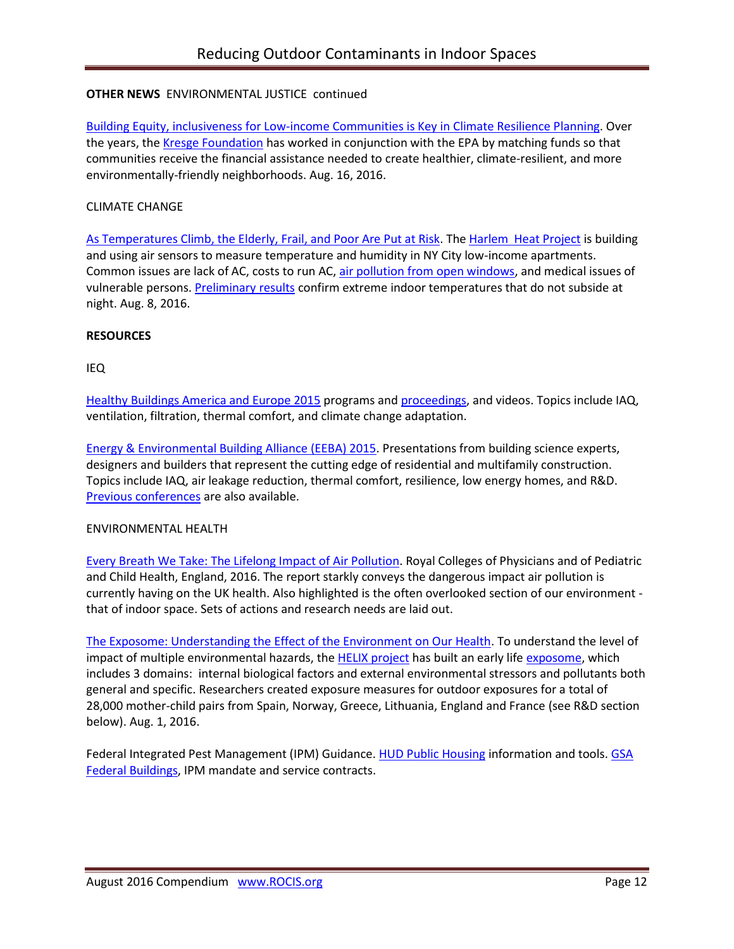# **OTHER NEWS** ENVIRONMENTAL JUSTICE continued

[Building Equity, inclusiveness for Low-income Communities is Key in Climate Resilience Planning.](https://blog.epa.gov/blog/2016/08/ej-kresge/) Over the years, the [Kresge Foundation](http://kresge.org/programs/environment/climate-resilience-and-urban-opportunity) has worked in conjunction with the EPA by matching funds so that communities receive the financial assistance needed to create healthier, climate-resilient, and more environmentally-friendly neighborhoods. Aug. 16, 2016.

#### CLIMATE CHANGE

[As Temperatures Climb, the Elderly, Frail, and Poor Are Put at Risk.](http://www.wnyc.org/story/temperatures-heat-climb-elderly-poor-frail-at-risk/) The [Harlem Heat Project](http://www.adaptny.org/category/harlem-heat/) is building and using air sensors to measure temperature and humidity in NY City low-income apartments. Common issues are lack of AC, costs to run AC, [air pollution from open windows,](http://www.adaptny.org/2016/07/28/life-in-new-york-public-housing-no-ac-but-maybe-a-fan-blowing-soot-from-outside-the-window/) and medical issues of vulnerable persons. **Preliminary results** confirm extreme indoor temperatures that do not subside at night. Aug. 8, 2016.

#### **RESOURCES**

#### IEQ

Healthy Buildings [America and Europe 2015](http://www.isiaq.org/news_manager.php?page=16312) programs an[d proceedings,](http://www.isiaq.org/publications.php) and videos. Topics include IAQ, ventilation, filtration, thermal comfort, and climate change adaptation.

[Energy & Environmental Building Alliance \(EEBA\) 2015.](http://www.eeba.org/conference/2015/program) Presentations from building science experts, designers and builders that represent the cutting edge of residential and multifamily construction. Topics include IAQ, air leakage reduction, thermal comfort, resilience, low energy homes, and R&D. [Previous conferences](http://conference.eeba.org/past-conferences) are also available.

#### ENVIRONMENTAL HEALTH

[Every Breath We Take: The Lifelong Impact of Air Pollution.](https://www.rcplondon.ac.uk/projects/outputs/every-breath-we-take-lifelong-impact-air-pollution) Royal Colleges of Physicians and of Pediatric and Child Health, England, 2016. The report starkly conveys the dangerous impact air pollution is currently having on the UK health. Also highlighted is the often overlooked section of our environment that of indoor space. Sets of actions and research needs are laid out.

[The Exposome: Understanding the Effect of the Environment on Our Health.](http://www.isglobal.org/en/healthisglobal/-/custom-blog-portlet/prova/5620053/7201) To understand the level of impact of multiple environmental hazards, the **HELIX** project has built an early life [exposome,](http://cebp.aacrjournals.org/content/14/8/1847) which includes 3 domains: internal biological factors and external environmental stressors and pollutants both general and specific. Researchers created exposure measures for outdoor exposures for a total of 28,000 mother-child pairs from Spain, Norway, Greece, Lithuania, England and France (see R&D section below). Aug. 1, 2016.

Federal Integrated Pest Management (IPM) Guidance. [HUD Public Housing](http://portal.hud.gov/hudportal/HUD?src=/program_offices/public_indian_housing/programs/ph/phecc/pestmang) information and tools. GSA [Federal Buildings,](https://sftool.gov/greenprocurement/green-services/4/pest-management) IPM mandate and service contracts.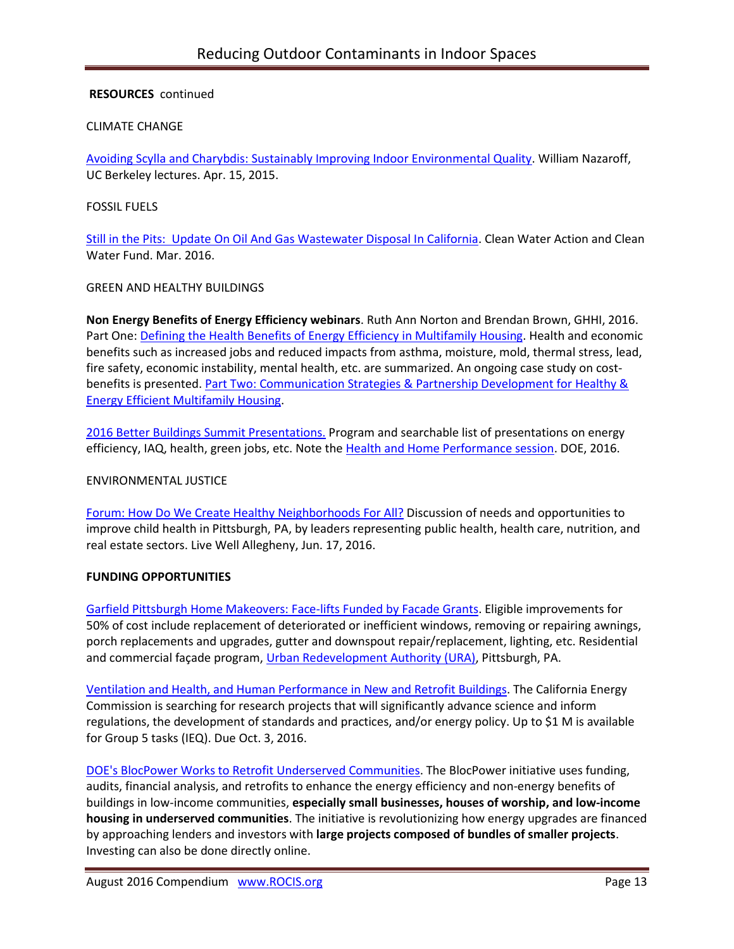### **RESOURCES** continued

#### CLIMATE CHANGE

[Avoiding Scylla and Charybdis: Sustainably Improving Indoor Environmental Quality.](http://www.isiaq.org/news_manager.php?page=15913) William Nazaroff, UC Berkeley lectures. Apr. 15, 2015.

#### FOSSIL FUELS

[Still in the Pits: Update On Oil And Gas Wastewater Disposal In California.](http://www.cleanwateraction.org/sites/default/files/docs/publications/Still%20In%20the%20Pits%20-%20March%202016.pdf) Clean Water Action and Clean Water Fund. Mar. 2016.

#### GREEN AND HEALTHY BUILDINGS

**Non Energy Benefits of Energy Efficiency webinars**. Ruth Ann Norton and Brendan Brown, GHHI, 2016. Part One: [Defining the Health Benefits of Energy Efficiency in Multifamily Housing.](http://r20.rs6.net/tn.jsp?f=001l9qAl7HWY7oF-YhqTRJ8xPZ0ml-odrtglEap0tX2v1nsqkLwMlRYm1_HsmZuVrN0G_w0Yx1CrZS0KtbIl9H1te9EE2t2ID6U88fC4oKwi8QzdSR_O6sEa5IWneTGX5jGOnVkqJNAlm6zEGxEWQF7CjsSITs94P8QwMqP4zNFqaZOblefS4DyYSxWzfGlETyhcEwBeaXWF0ltYk9IsuOV2dOJ7fc8Ah7OdlFSmuOt0e00WROPtJvmw5ZL-dB4EtQ5KYEM7B6WJsPXOE6Pyv8VZQ==&c=xCWLXTj6mzjJ_fB--90bH6mt97sphzDpzLlURFEtxzkqjbNQzHpytQ==&ch=5SExPqVR_NU1KLkZai3B0x2LH43xeLHrNCVX5A6K5761zP_h_GbG8Q==) Health and economic benefits such as increased jobs and reduced impacts from asthma, moisture, mold, thermal stress, lead, fire safety, economic instability, mental health, etc. are summarized. An ongoing case study on costbenefits is presented. Part Two: Communication Strategies & Partnership Development for Healthy & [Energy Efficient Multifamily Housing.](https://vimeo.com/179241918)

[2016 Better Buildings Summit Presentations.](https://betterbuildingsinitiative.energy.gov/summit) Program and searchable list of presentations on energy efficiency, IAQ, health, green jobs, etc. Note th[e Health and Home Performance session.](https://betterbuildingssolutioncenter.energy.gov/sites/default/files/Health_and_Home_Performance_A_Game_Changer_Organizational_Strategies_WED.pdf) DOE, 2016.

#### ENVIRONMENTAL JUSTICE

[Forum: How Do We Create Healthy Neighborhoods For All?](http://www.livewellallegheny.com/forum-healthy-neighborhoods/) Discussion of needs and opportunities to improve child health in Pittsburgh, PA, by leaders representing public health, health care, nutrition, and real estate sectors. Live Well Allegheny, Jun. 17, 2016.

### **FUNDING OPPORTUNITIES**

[Garfield Pittsburgh Home Makeovers: Face-lifts Funded by Facade Grants.](http://bloomfield-garfield.org/wp-content/uploads/2016/06/The-Bulletin-June-2016-Vol.-41-No.-6-sm-2.pdf) Eligible improvements for 50% of cost include replacement of deteriorated or inefficient windows, removing or repairing awnings, porch replacements and upgrades, gutter and downspout repair/replacement, lighting, etc. Residential and commercial façade program, [Urban Redevelopment Authority \(URA\),](http://www.ura.org/business_owners/facade_program.php) Pittsburgh, PA.

Ventilation and [Health, and Human Performance in New](http://www.energy.ca.gov/contracts/pier.html#GFO-15-507) and Retrofit Buildings. The California Energy Commission is searching for research projects that will significantly advance science and inform regulations, the development of standards and practices, and/or energy policy. Up to \$1 M is available for Group 5 tasks (IEQ). Due Oct. 3, 2016.

[DOE's BlocPower Works to Retrofit Underserved Communities.](http://www.usgbc.org/articles/blocpower-works-retrofit-underserved-communities) The BlocPower initiative uses funding, audits, financial analysis, and retrofits to enhance the energy efficiency and non-energy benefits of buildings in low-income communities, **especially small businesses, houses of worship, and low-income housing in underserved communities**. The initiative is revolutionizing how energy upgrades are financed by approaching lenders and investors with **large projects composed of bundles of smaller projects**. Investing can also be done directly online.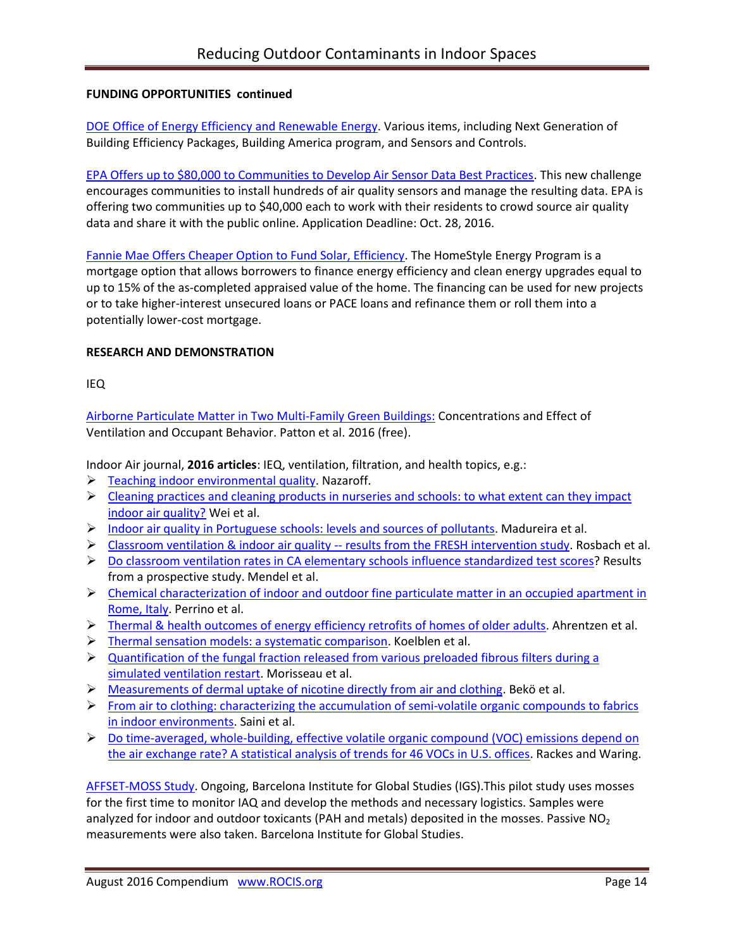### **FUNDING OPPORTUNITIES continued**

[DOE Office of Energy Efficiency and Renewable Energy.](http://energy.gov/eere/buildings/listings/funding-opportunities) Various items, including Next Generation of Building Efficiency Packages, Building America program, and Sensors and Controls.

[EPA Offers up to \\$80,000 to Communities to Develop Air Sensor Data Best Practices.](http://www.challenge.gov/challenge/smart-city-air-challenge/) This new challenge encourages communities to install hundreds of air quality sensors and manage the resulting data. EPA is offering two communities up to \$40,000 each to work with their residents to crowd source air quality data and share it with the public online. Application Deadline: Oct. 28, 2016.

[Fannie Mae Offers Cheaper Option to Fund Solar, Efficiency.](http://www.greentechmedia.com/articles/read/fannie-mae-offers-cheaper-option-to-fund-solar-efficiency) The HomeStyle Energy Program is a mortgage option that allows borrowers to finance energy efficiency and clean energy upgrades equal to up to 15% of the as-completed appraised value of the home. The financing can be used for new projects or to take higher-interest unsecured loans or PACE loans and refinance them or roll them into a potentially lower-cost mortgage.

## **RESEARCH AND DEMONSTRATION**

IEQ

Airborne Particulate Matter in Two [Multi-Family Green Buildings:](http://www.ncbi.nlm.nih.gov/pubmed/26805862) Concentrations and Effect of Ventilation and Occupant Behavior. Patton et al. 2016 (free).

Indoor Air journal, **2016 articles**: IEQ, ventilation, filtration, and health topics, e.g.:

- $\triangleright$  [Teaching indoor environmental quality.](http://onlinelibrary.wiley.com/doi/10.1111/ina.12309/full) Nazaroff.
- $\triangleright$  Cleaning practices and cleaning products in nurseries and schools: to what extent can they impact [indoor air quality?](http://onlinelibrary.wiley.com/doi/10.1111/ina.12236/full) Wei et al.
- $\triangleright$  [Indoor air quality in Portuguese schools: levels and sources of pollutants.](http://onlinelibrary.wiley.com/doi/10.1111/ina.12237/full) Madureira et al.
- $\triangleright$  [Classroom ventilation & indoor air quality --](http://onlinelibrary.wiley.com/doi/10.1111/ina.12231/full) results from the FRESH intervention study. Rosbach et al.
- $\triangleright$  Do classroom ventilation rates in CA [elementary schools influence standardized test scores?](http://onlinelibrary.wiley.com/doi/10.1111/ina.12241/full) Results from a prospective study. Mendel et al.
- $\triangleright$  Chemical characterization of indoor and outdoor fine particulate matter in an occupied apartment in [Rome, Italy.](http://onlinelibrary.wiley.com/doi/10.1111/ina.12235/full) Perrino et al.
- > Thermal & [health outcomes of energy efficiency retrofits of homes of older adults.](http://onlinelibrary.wiley.com/doi/10.1111/ina.12239/full) Ahrentzen et al.
- $\triangleright$  [Thermal sensation models: a systematic comparison.](http://onlinelibrary.wiley.com/doi/10.1111/ina.12329/full) Koelblen et al.
- $\triangleright$  Quantification of the fungal fraction released from various preloaded fibrous filters during a [simulated ventilation restart.](http://onlinelibrary.wiley.com/doi/10.1111/ina.12330/full) Morisseau et al.
- > [Measurements of dermal uptake of nicotine directly from air and clothing.](http://onlinelibrary.wiley.com/doi/10.1111/ina.12327/full) Bekö et al.
- $\triangleright$  From air to clothing: characterizing the accumulation of semi-volatile organic compounds to fabrics [in indoor environments.](http://onlinelibrary.wiley.com/doi/10.1111/ina.12328/full) Saini et al.
- ▶ Do time-averaged, whole-building, effective volatile organic compound (VOC) emissions depend on [the air exchange rate? A statistical analysis of trends for 46 VOCs in U.S. offices.](http://onlinelibrary.wiley.com/doi/10.1111/ina.12224/full) Rackes and Waring.

[AFFSET-MOSS](http://www.isglobal.org/en/web/guest/project/-/asset_publisher/qf6QOKuKkIC3/content/affset-moss) Study. Ongoing, Barcelona Institute for Global Studies (IGS).This pilot study uses mosses for the first time to monitor IAQ and develop the methods and necessary logistics. Samples were analyzed for indoor and outdoor toxicants (PAH and metals) deposited in the mosses. Passive  $NO<sub>2</sub>$ measurements were also taken. Barcelona Institute for Global Studies.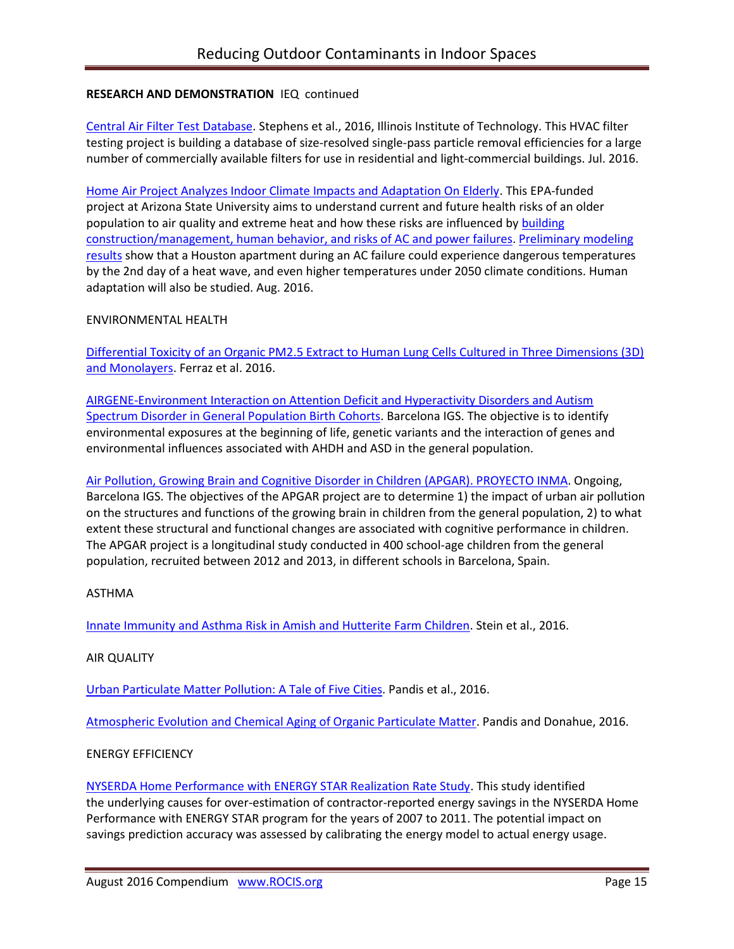## **RESEARCH AND DEMONSTRATION** IEQ continued

[Central Air Filter Test Database.](http://built-envi.com/portfolio/filter-testing/) Stephens et al., 2016, Illinois Institute of Technology. This HVAC filter testing project is building a database of size-resolved single-pass particle removal efficiencies for a large number of commercially available filters for use in residential and light-commercial buildings. Jul. 2016.

[Home Air Project Analyzes Indoor Climate Impacts and Adaptation On Elderly.](http://www.public.asu.edu/~dsailor/) This EPA-funded project at Arizona State University aims to understand current and future health risks of an older population to air quality and extreme heat and how these risks are influenced by building [construction/management, human behavior, and risks of AC and power failures.](http://www.meteo.fr/icuc9/LongAbstracts/bph2-1-4601436_a.pdf) [Preliminary modeling](http://www.meteo.fr/icuc9/presentations/BPH/BPH2-1.pdf)  [results](http://www.meteo.fr/icuc9/presentations/BPH/BPH2-1.pdf) show that a Houston apartment during an AC failure could experience dangerous temperatures by the 2nd day of a heat wave, and even higher temperatures under 2050 climate conditions. Human adaptation will also be studied. Aug. 2016.

### ENVIRONMENTAL HEALTH

[Differential Toxicity of an Organic PM2.5 Extract to Human Lung Cells Cultured in Three Dimensions \(3D\)](http://www.ncbi.nlm.nih.gov/pubmed/26932779)  [and Monolayers.](http://www.ncbi.nlm.nih.gov/pubmed/26932779) Ferraz et al. 2016.

[AIRGENE-Environment Interaction on Attention Deficit and](http://www.isglobal.org/en/research) Hyperactivity Disorders and Autism [Spectrum Disorder in General Population Birth Cohorts.](http://www.isglobal.org/en/research) Barcelona IGS. The objective is to identify environmental exposures at the beginning of life, genetic variants and the interaction of genes and environmental influences associated with AHDH and ASD in the general population.

[Air Pollution, Growing Brain and Cognitive Disorder in Children \(APGAR\). PROYECTO INMA.](http://www.isglobal.org/en/research) Ongoing, Barcelona IGS. The objectives of the APGAR project are to determine 1) the impact of urban air pollution on the structures and functions of the growing brain in children from the general population, 2) to what extent these structural and functional changes are associated with cognitive performance in children. The APGAR project is a longitudinal study conducted in 400 school-age children from the general population, recruited between 2012 and 2013, in different schools in Barcelona, Spain.

### ASTHMA

[Innate Immunity and Asthma Risk in Amish and Hutterite Farm Children.](http://www.ncbi.nlm.nih.gov/pubmed/27518660) Stein et al., 2016.

#### AIR QUALITY

[Urban Particulate Matter Pollution: A Tale of Five Cities.](http://www.ncbi.nlm.nih.gov/pubmed/27310460) Pandis et al., 2016.

[Atmospheric Evolution and Chemical Aging of Organic Particulate Matter.](https://www.epa.gov/sites/production/files/2016-04/documents/2.1redacted_pandis_epa.pdf) Pandis and Donahue, 2016.

### ENERGY EFFICIENCY

[NYSERDA Home Performance with ENERGY STAR Realization Rate Study.](http://psdconsulting.com/nyserda-hpwes-rr-study/) This study identified the underlying causes for over-estimation of contractor-reported energy savings in the NYSERDA Home Performance with ENERGY STAR program for the years of 2007 to 2011. The potential impact on savings prediction accuracy was assessed by calibrating the energy model to actual energy usage.